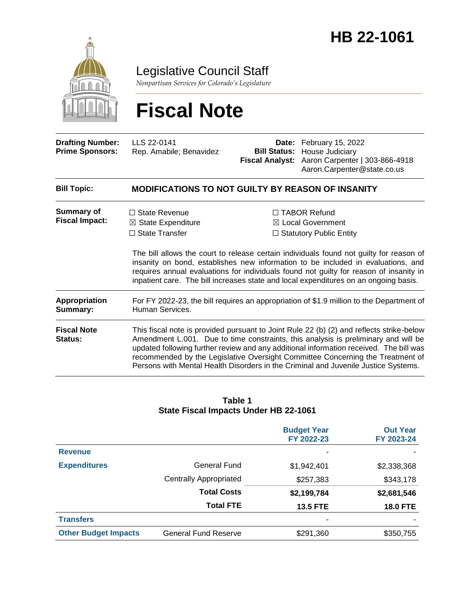

Legislative Council Staff

*Nonpartisan Services for Colorado's Legislature*

# **Fiscal Note**

| <b>Drafting Number:</b><br><b>Prime Sponsors:</b> | LLS 22-0141<br>Rep. Amabile; Benavidez                                                                                                                                                                                                                                                                                                                                                                                                           | <b>Bill Status:</b><br><b>Fiscal Analyst:</b> | Date: February 15, 2022<br>House Judiciary<br>Aaron Carpenter   303-866-4918<br>Aaron.Carpenter@state.co.us                                                                                                                                                                                                                                                                                                                                  |  |  |  |
|---------------------------------------------------|--------------------------------------------------------------------------------------------------------------------------------------------------------------------------------------------------------------------------------------------------------------------------------------------------------------------------------------------------------------------------------------------------------------------------------------------------|-----------------------------------------------|----------------------------------------------------------------------------------------------------------------------------------------------------------------------------------------------------------------------------------------------------------------------------------------------------------------------------------------------------------------------------------------------------------------------------------------------|--|--|--|
| <b>Bill Topic:</b>                                | <b>MODIFICATIONS TO NOT GUILTY BY REASON OF INSANITY</b>                                                                                                                                                                                                                                                                                                                                                                                         |                                               |                                                                                                                                                                                                                                                                                                                                                                                                                                              |  |  |  |
| Summary of<br><b>Fiscal Impact:</b>               | $\Box$ State Revenue<br>$\boxtimes$ State Expenditure<br>$\Box$ State Transfer                                                                                                                                                                                                                                                                                                                                                                   |                                               | $\Box$ TABOR Refund<br>⊠ Local Government<br>$\Box$ Statutory Public Entity<br>The bill allows the court to release certain individuals found not guilty for reason of<br>insanity on bond, establishes new information to be included in evaluations, and<br>requires annual evaluations for individuals found not guilty for reason of insanity in<br>inpatient care. The bill increases state and local expenditures on an ongoing basis. |  |  |  |
| <b>Appropriation</b><br>Summary:                  | For FY 2022-23, the bill requires an appropriation of \$1.9 million to the Department of<br>Human Services.                                                                                                                                                                                                                                                                                                                                      |                                               |                                                                                                                                                                                                                                                                                                                                                                                                                                              |  |  |  |
| <b>Fiscal Note</b><br><b>Status:</b>              | This fiscal note is provided pursuant to Joint Rule 22 (b) (2) and reflects strike-below<br>Amendment L.001. Due to time constraints, this analysis is preliminary and will be<br>updated following further review and any additional information received. The bill was<br>recommended by the Legislative Oversight Committee Concerning the Treatment of<br>Persons with Mental Health Disorders in the Criminal and Juvenile Justice Systems. |                                               |                                                                                                                                                                                                                                                                                                                                                                                                                                              |  |  |  |

#### **Table 1 State Fiscal Impacts Under HB 22-1061**

|                             |                               | <b>Budget Year</b><br>FY 2022-23 | <b>Out Year</b><br>FY 2023-24 |
|-----------------------------|-------------------------------|----------------------------------|-------------------------------|
| <b>Revenue</b>              |                               |                                  |                               |
| <b>Expenditures</b>         | General Fund                  | \$1,942,401                      | \$2,338,368                   |
|                             | <b>Centrally Appropriated</b> | \$257,383                        | \$343,178                     |
|                             | <b>Total Costs</b>            | \$2,199,784                      | \$2,681,546                   |
|                             | <b>Total FTE</b>              | <b>13.5 FTE</b>                  | <b>18.0 FTE</b>               |
| <b>Transfers</b>            |                               |                                  |                               |
| <b>Other Budget Impacts</b> | <b>General Fund Reserve</b>   | \$291,360                        | \$350,755                     |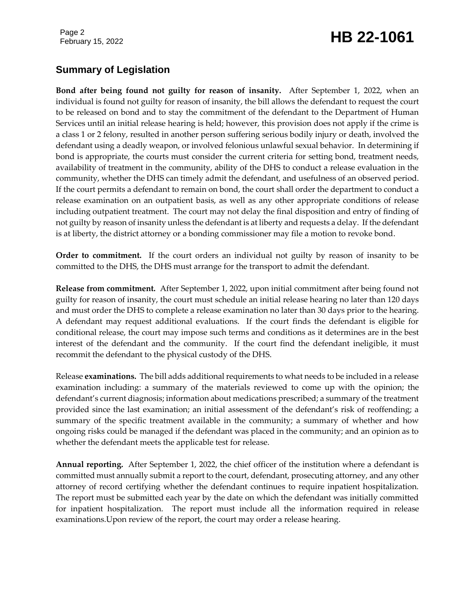### February 15, 2022 **HB 22-1061**

#### **Summary of Legislation**

**Bond after being found not guilty for reason of insanity.** After September 1, 2022, when an individual is found not guilty for reason of insanity, the bill allows the defendant to request the court to be released on bond and to stay the commitment of the defendant to the Department of Human Services until an initial release hearing is held; however, this provision does not apply if the crime is a class 1 or 2 felony, resulted in another person suffering serious bodily injury or death, involved the defendant using a deadly weapon, or involved felonious unlawful sexual behavior. In determining if bond is appropriate, the courts must consider the current criteria for setting bond, treatment needs, availability of treatment in the community, ability of the DHS to conduct a release evaluation in the community, whether the DHS can timely admit the defendant, and usefulness of an observed period. If the court permits a defendant to remain on bond, the court shall order the department to conduct a release examination on an outpatient basis, as well as any other appropriate conditions of release including outpatient treatment. The court may not delay the final disposition and entry of finding of not guilty by reason of insanity unless the defendant is at liberty and requests a delay. If the defendant is at liberty, the district attorney or a bonding commissioner may file a motion to revoke bond.

**Order to commitment.** If the court orders an individual not guilty by reason of insanity to be committed to the DHS, the DHS must arrange for the transport to admit the defendant.

**Release from commitment.** After September 1, 2022, upon initial commitment after being found not guilty for reason of insanity, the court must schedule an initial release hearing no later than 120 days and must order the DHS to complete a release examination no later than 30 days prior to the hearing. A defendant may request additional evaluations. If the court finds the defendant is eligible for conditional release, the court may impose such terms and conditions as it determines are in the best interest of the defendant and the community. If the court find the defendant ineligible, it must recommit the defendant to the physical custody of the DHS.

Release **examinations.** The bill adds additional requirements to what needs to be included in a release examination including: a summary of the materials reviewed to come up with the opinion; the defendant's current diagnosis; information about medications prescribed; a summary of the treatment provided since the last examination; an initial assessment of the defendant's risk of reoffending; a summary of the specific treatment available in the community; a summary of whether and how ongoing risks could be managed if the defendant was placed in the community; and an opinion as to whether the defendant meets the applicable test for release.

**Annual reporting.** After September 1, 2022, the chief officer of the institution where a defendant is committed must annually submit a report to the court, defendant, prosecuting attorney, and any other attorney of record certifying whether the defendant continues to require inpatient hospitalization. The report must be submitted each year by the date on which the defendant was initially committed for inpatient hospitalization. The report must include all the information required in release examinations.Upon review of the report, the court may order a release hearing.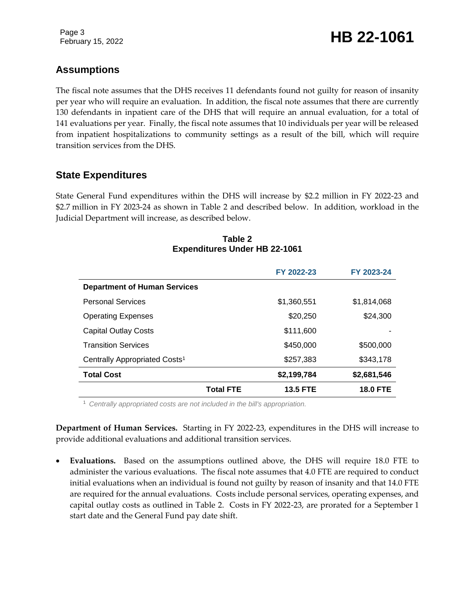February 15, 2022 **HB 22-1061** 

#### **Assumptions**

The fiscal note assumes that the DHS receives 11 defendants found not guilty for reason of insanity per year who will require an evaluation. In addition, the fiscal note assumes that there are currently 130 defendants in inpatient care of the DHS that will require an annual evaluation, for a total of 141 evaluations per year. Finally, the fiscal note assumes that 10 individuals per year will be released from inpatient hospitalizations to community settings as a result of the bill, which will require transition services from the DHS.

#### **State Expenditures**

State General Fund expenditures within the DHS will increase by \$2.2 million in FY 2022-23 and \$2.7 million in FY 2023-24 as shown in Table 2 and described below. In addition, workload in the Judicial Department will increase, as described below.

|                                           |                  | FY 2022-23      | FY 2023-24      |
|-------------------------------------------|------------------|-----------------|-----------------|
| <b>Department of Human Services</b>       |                  |                 |                 |
| <b>Personal Services</b>                  |                  | \$1,360,551     | \$1,814,068     |
| <b>Operating Expenses</b>                 |                  | \$20,250        | \$24,300        |
| <b>Capital Outlay Costs</b>               |                  | \$111,600       |                 |
| <b>Transition Services</b>                |                  | \$450,000       | \$500,000       |
| Centrally Appropriated Costs <sup>1</sup> |                  | \$257,383       | \$343,178       |
| <b>Total Cost</b>                         |                  | \$2,199,784     | \$2,681,546     |
|                                           | <b>Total FTE</b> | <b>13.5 FTE</b> | <b>18.0 FTE</b> |

#### **Table 2 Expenditures Under HB 22-1061**

<sup>1</sup> *Centrally appropriated costs are not included in the bill's appropriation.*

**Department of Human Services.** Starting in FY 2022-23, expenditures in the DHS will increase to provide additional evaluations and additional transition services.

 **Evaluations.** Based on the assumptions outlined above, the DHS will require 18.0 FTE to administer the various evaluations. The fiscal note assumes that 4.0 FTE are required to conduct initial evaluations when an individual is found not guilty by reason of insanity and that 14.0 FTE are required for the annual evaluations. Costs include personal services, operating expenses, and capital outlay costs as outlined in Table 2. Costs in FY 2022-23, are prorated for a September 1 start date and the General Fund pay date shift.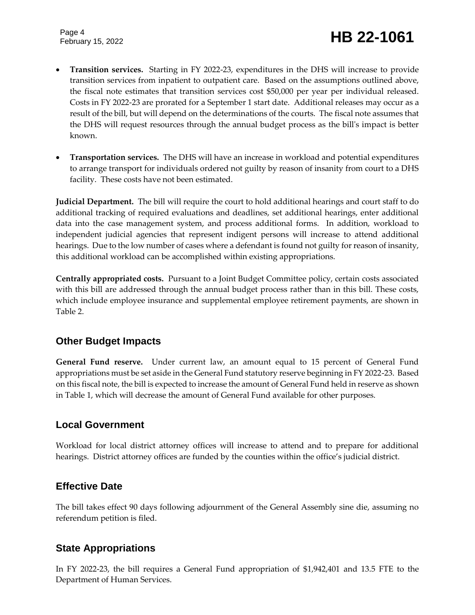# February 15, 2022 **HB 22-1061**

- **Transition services.** Starting in FY 2022-23, expenditures in the DHS will increase to provide transition services from inpatient to outpatient care. Based on the assumptions outlined above, the fiscal note estimates that transition services cost \$50,000 per year per individual released. Costs in FY 2022-23 are prorated for a September 1 start date. Additional releases may occur as a result of the bill, but will depend on the determinations of the courts. The fiscal note assumes that the DHS will request resources through the annual budget process as the bill's impact is better known.
- **Transportation services.** The DHS will have an increase in workload and potential expenditures to arrange transport for individuals ordered not guilty by reason of insanity from court to a DHS facility. These costs have not been estimated.

**Judicial Department.** The bill will require the court to hold additional hearings and court staff to do additional tracking of required evaluations and deadlines, set additional hearings, enter additional data into the case management system, and process additional forms. In addition, workload to independent judicial agencies that represent indigent persons will increase to attend additional hearings. Due to the low number of cases where a defendant is found not guilty for reason of insanity, this additional workload can be accomplished within existing appropriations.

**Centrally appropriated costs.** Pursuant to a Joint Budget Committee policy, certain costs associated with this bill are addressed through the annual budget process rather than in this bill. These costs, which include employee insurance and supplemental employee retirement payments, are shown in Table 2.

#### **Other Budget Impacts**

**General Fund reserve.** Under current law, an amount equal to 15 percent of General Fund appropriations must be set aside in the General Fund statutory reserve beginning in FY 2022-23. Based on this fiscal note, the bill is expected to increase the amount of General Fund held in reserve as shown in Table 1, which will decrease the amount of General Fund available for other purposes.

#### **Local Government**

Workload for local district attorney offices will increase to attend and to prepare for additional hearings. District attorney offices are funded by the counties within the office's judicial district.

#### **Effective Date**

The bill takes effect 90 days following adjournment of the General Assembly sine die, assuming no referendum petition is filed.

#### **State Appropriations**

In FY 2022-23, the bill requires a General Fund appropriation of \$1,942,401 and 13.5 FTE to the Department of Human Services.